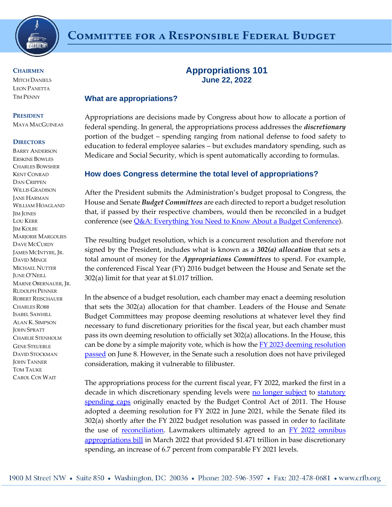

**CHAIRMEN MITCH DANIELS** 

LEON PANETTA TIM PENNY

#### **PRESIDENT**

MAYA MACGUINEAS

#### **DIRECTORS**

BARRY ANDERSON ERSKINE BOWLES CHARLES BOWSHER KENT CONRAD DAN CRIPPEN WILLIS GRADISON JANE HARMAN WILLIAM HOAGLAND JIM JONES LOU KERR JIM KOLBE MARJORIE MARGOLIES DAVE MCCURDY JAMES MCINTYRE, JR. DAVID MINGE MICHAEL NUTTER JUNE O'NEILL MARNE OBERNAUER, JR. RUDOLPH PENNER ROBERT REISCHAUER CHARLES ROBB ISABEL SAWHILL ALAN K. SIMPSON JOHN SPRATT CHARLIE STENHOLM GENE STEUERLE DAVID STOCKMAN **JOHN TANNER** TOM TAUKE CAROL COX WAIT

# **Appropriations 101 June 22, 2022**

#### **What are appropriations?**

Appropriations are decisions made by Congress about how to allocate a portion of federal spending. In general, the appropriations process addresses the *discretionary*  portion of the budget – spending ranging from national defense to food safety to education to federal employee salaries – but excludes mandatory spending, such as Medicare and Social Security, which is spent automatically according to formulas.

## **How does Congress determine the total level of appropriations?**

After the President submits the Administration's budget proposal to Congress, the House and Senate *Budget Committees* are each directed to report a budget resolution that, if passed by their respective chambers, would then be reconciled in a budget conference (see *Q&A*: Everything You Need to Know About a Budget Conference).

The resulting budget resolution, which is a concurrent resolution and therefore not signed by the President, includes what is known as a *302(a) allocation* that sets a total amount of money for the *Appropriations Committees* to spend. For example, the conferenced Fiscal Year (FY) 2016 budget between the House and Senate set the 302(a) limit for that year at \$1.017 trillion.

In the absence of a budget resolution, each chamber may enact a deeming resolution that sets the 302(a) allocation for that chamber. Leaders of the House and Senate Budget Committees may propose deeming resolutions at whatever level they find necessary to fund discretionary priorities for the fiscal year, but each chamber must pass its own deeming resolution to officially set 302(a) allocations. In the House, this can be done by a simple majority vote, which is how the **FY 2023 deeming resolution** [passed](https://www.congress.gov/bill/117th-congress/house-resolution/1151/text) on June 8. However, in the Senate such a resolution does not have privileged consideration, making it vulnerable to filibuster.

The appropriations process for the current fiscal year, FY 2022, marked the first in a decade in which discretionary spending levels were [no longer subject](https://www.crfb.org/press-releases/omnibus-bill-highlights-need-spending-caps) to statutory [spending caps](https://www.crfb.org/papers/case-restoring-discretionary-spending-caps) originally enacted by the Budget Control Act of 2011. The House adopted a deeming resolution for FY 2022 in June 2021, while the Senate filed its 302(a) shortly after the FY 2022 budget resolution was passed in order to facilitate the use of [reconciliation.](https://www.crfb.org/papers/reconciliation-101) Lawmakers ultimately agreed to an **FY 2022 omnibus** [appropriations bill](https://www.crfb.org/blogs/whats-fy-2022-omnibus-bill) in March 2022 that provided \$1.471 trillion in base discretionary spending, an increase of 6.7 percent from comparable FY 2021 levels.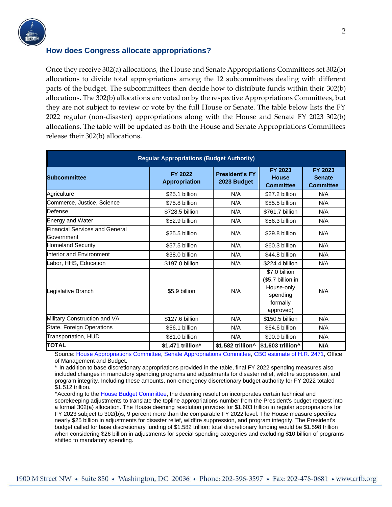

#### **How does Congress allocate appropriations?**

Once they receive 302(a) allocations, the House and Senate Appropriations Committees set 302(b) allocations to divide total appropriations among the 12 subcommittees dealing with different parts of the budget. The subcommittees then decide how to distribute funds within their 302(b) allocations. The 302(b) allocations are voted on by the respective Appropriations Committees, but they are not subject to review or vote by the full House or Senate. The table below lists the FY 2022 regular (non-disaster) appropriations along with the House and Senate FY 2023 302(b) allocations. The table will be updated as both the House and Senate Appropriations Committees release their 302(b) allocations.

| <b>Regular Appropriations (Budget Authority)</b>    |                                 |                                      |                                                                                       |                                              |
|-----------------------------------------------------|---------------------------------|--------------------------------------|---------------------------------------------------------------------------------------|----------------------------------------------|
| <b>Subcommittee</b>                                 | FY 2022<br><b>Appropriation</b> | <b>President's FY</b><br>2023 Budget | <b>FY 2023</b><br><b>House</b><br><b>Committee</b>                                    | FY 2023<br><b>Senate</b><br><b>Committee</b> |
| Agriculture                                         | \$25.1 billion                  | N/A                                  | \$27.2 billion                                                                        | N/A                                          |
| Commerce, Justice, Science                          | \$75.8 billion                  | N/A                                  | \$85.5 billion                                                                        | N/A                                          |
| Defense                                             | \$728.5 billion                 | N/A                                  | \$761.7 billion                                                                       | N/A                                          |
| <b>Energy and Water</b>                             | \$52.9 billion                  | N/A                                  | \$56.3 billion                                                                        | N/A                                          |
| <b>Financial Services and General</b><br>Government | \$25.5 billion                  | N/A                                  | \$29.8 billion                                                                        | N/A                                          |
| <b>Homeland Security</b>                            | \$57.5 billion                  | N/A                                  | \$60.3 billion                                                                        | N/A                                          |
| Interior and Environment                            | \$38.0 billion                  | N/A                                  | \$44.8 billion                                                                        | N/A                                          |
| Labor, HHS, Education                               | \$197.0 billion                 | N/A                                  | \$224.4 billion                                                                       | N/A                                          |
| Legislative Branch                                  | \$5.9 billion                   | N/A                                  | \$7.0 billion<br>(\$5.7 billion in<br>House-only<br>spending<br>formally<br>approved) | N/A                                          |
| Military Construction and VA                        | \$127.6 billion                 | N/A                                  | \$150.5 billion                                                                       | N/A                                          |
| State, Foreign Operations                           | \$56.1 billion                  | N/A                                  | \$64.6 billion                                                                        | N/A                                          |
| Transportation, HUD                                 | \$81.0 billion                  | N/A                                  | \$90.9 billion                                                                        | N/A                                          |
| <b>TOTAL</b>                                        | \$1.471 trillion*               | \$1.582 trillion^                    | \$1.603 trillion^                                                                     | N/A                                          |

Source: [House Appropriations Committee,](https://appropriations.house.gov/) [Senate Appropriations Committee,](https://www.appropriations.senate.gov/) [CBO estimate of H.R. 2471,](https://www.cbo.gov/system/files/2022-03/HR2471_As_Cleared_by_the_Congress.pdf) Office of Management and Budget.

In addition to base discretionary appropriations provided in the table, final FY 2022 spending measures also included changes in mandatory spending programs and adjustments for disaster relief, wildfire suppression, and program integrity. Including these amounts, non-emergency discretionary budget authority for FY 2022 totaled \$1.512 trillion.

^According to the [House Budget Committee,](https://budget.house.gov/publications/report/fy23-deeming-resolution-supporting-appropriations-process) the deeming resolution incorporates certain technical and scorekeeping adjustments to translate the topline appropriations number from the President's budget request into a formal 302(a) allocation. The House deeming resolution provides for \$1.603 trillion in regular appropriations for FY 2023 subject to 302(b)s, 9 percent more than the comparable FY 2022 level. The House measure specifies nearly \$25 billion in adjustments for disaster relief, wildfire suppression, and program integrity. The President's budget called for base discretionary funding of \$1.582 trillion; total discretionary funding would be \$1.598 trillion when considering \$26 billion in adjustments for special spending categories and excluding \$10 billion of programs shifted to mandatory spending.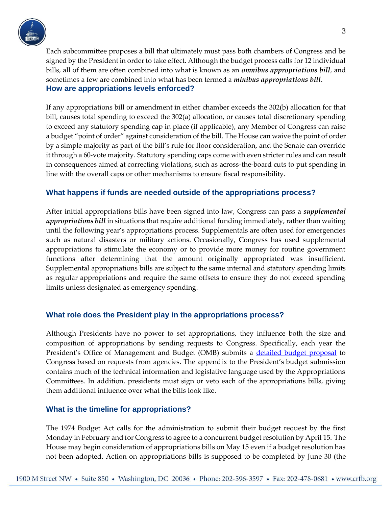

Each subcommittee proposes a bill that ultimately must pass both chambers of Congress and be signed by the President in order to take effect. Although the budget process calls for 12 individual bills, all of them are often combined into what is known as an *omnibus appropriations bill*, and sometimes a few are combined into what has been termed a *minibus appropriations bill*. **How are appropriations levels enforced?**

If any appropriations bill or amendment in either chamber exceeds the 302(b) allocation for that bill, causes total spending to exceed the 302(a) allocation, or causes total discretionary spending to exceed any statutory spending cap in place (if applicable), any Member of Congress can raise a budget "point of order" against consideration of the bill. The House can waive the point of order by a simple majority as part of the bill's rule for floor consideration, and the Senate can override it through a 60-vote majority. Statutory spending caps come with even stricter rules and can result in consequences aimed at correcting violations, such as across-the-board cuts to put spending in line with the overall caps or other mechanisms to ensure fiscal responsibility.

## **What happens if funds are needed outside of the appropriations process?**

After initial appropriations bills have been signed into law, Congress can pass a *supplemental appropriations bill* in situations that require additional funding immediately, rather than waiting until the following year's appropriations process. Supplementals are often used for emergencies such as natural disasters or military actions. Occasionally, Congress has used supplemental appropriations to stimulate the economy or to provide more money for routine government functions after determining that the amount originally appropriated was insufficient. Supplemental appropriations bills are subject to the same internal and statutory spending limits as regular appropriations and require the same offsets to ensure they do not exceed spending limits unless designated as emergency spending.

## **What role does the President play in the appropriations process?**

Although Presidents have no power to set appropriations, they influence both the size and composition of appropriations by sending requests to Congress. Specifically, each year the President's Office of Management and Budget (OMB) submits a [detailed budget proposal](https://www.crfb.org/papers/analysis-presidents-fy-2023-budget) to Congress based on requests from agencies. The appendix to the President's budget submission contains much of the technical information and legislative language used by the Appropriations Committees. In addition, presidents must sign or veto each of the appropriations bills, giving them additional influence over what the bills look like.

## **What is the timeline for appropriations?**

The 1974 Budget Act calls for the administration to submit their budget request by the first Monday in February and for Congress to agree to a concurrent budget resolution by April 15. The House may begin consideration of appropriations bills on May 15 even if a budget resolution has not been adopted. Action on appropriations bills is supposed to be completed by June 30 (the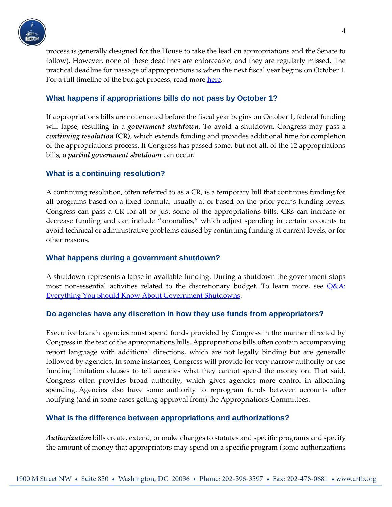

process is generally designed for the House to take the lead on appropriations and the Senate to follow). However, none of these deadlines are enforceable, and they are regularly missed. The practical deadline for passage of appropriations is when the next fiscal year begins on October 1. For a full timeline of the budget process, read mor[e here.](https://uscode.house.gov/view.xhtml?path=/prelim@title31/subtitle2&edition=prelim)

## **What happens if appropriations bills do not pass by October 1?**

If appropriations bills are not enacted before the fiscal year begins on October 1, federal funding will lapse, resulting in a *government shutdown*. To avoid a shutdown, Congress may pass a *continuing resolution* **(CR)**, which extends funding and provides additional time for completion of the appropriations process. If Congress has passed some, but not all, of the 12 appropriations bills, a *partial government shutdown* can occur.

## **What is a continuing resolution?**

A continuing resolution, often referred to as a CR, is a temporary bill that continues funding for all programs based on a fixed formula, usually at or based on the prior year's funding levels. Congress can pass a CR for all or just some of the appropriations bills. CRs can increase or decrease funding and can include "anomalies," which adjust spending in certain accounts to avoid technical or administrative problems caused by continuing funding at current levels, or for other reasons.

## **What happens during a government shutdown?**

A shutdown represents a lapse in available funding. During a shutdown the government stops most non-essential activities related to the discretionary budget. To learn more, see  $Q\&A$ : [Everything You Should Know About Government Shutdowns.](http://www.crfb.org/papers/qa-everything-you-should-know-about-government-shutdowns)

## **Do agencies have any discretion in how they use funds from appropriators?**

Executive branch agencies must spend funds provided by Congress in the manner directed by Congress in the text of the appropriations bills. Appropriations bills often contain accompanying report language with additional directions, which are not legally binding but are generally followed by agencies. In some instances, Congress will provide for very narrow authority or use funding limitation clauses to tell agencies what they cannot spend the money on. That said, Congress often provides broad authority, which gives agencies more control in allocating spending. Agencies also have some authority to reprogram funds between accounts after notifying (and in some cases getting approval from) the Appropriations Committees.

## **What is the difference between appropriations and authorizations?**

*Authorization* bills create, extend, or make changes to statutes and specific programs and specify the amount of money that appropriators may spend on a specific program (some authorizations